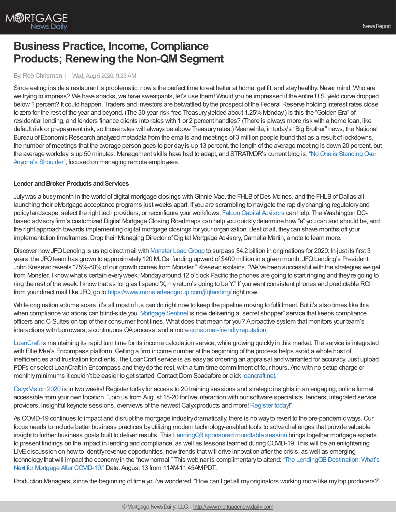

# **Business Practice, Income, Compliance Products; Renewing the Non-QM Segment**

## By:Rob Chrisman | Wed, Aug 5 2020, 9:23 AM

Since eating inside a restaurant is problematic, now's the perfect time to eat better at home, get fit, and stay healthy. Never mind: Who are we trying to impress? We have snacks, we have sweatpants, let's use them! Would you be impressed if the entire U.S. yield curve dropped below1 percent? It could happen. Traders and investors are betwattled bythe prospect of the Federal Reserve holding interest rates close to zero for the rest of the year and beyond. (The 30-year risk-free Treasury yielded about 1.25% Monday.) Is this the "Golden Era" of residential lending, and lenders finance clients into rates with 1 or 2 percent handles? (There is always more riskwith a home loan, like default risk or prepayment risk, so those rates will always be above Treasuryrates.) Meanwhile, in today's "Big Brother" news, the National Bureau of Economic Research analyzed metadata from the emails and meetings of 3 million people found that as a result of lockdowns, the number of meetings that the average person goes to per dayis up 13 percent, the length of the average meeting is down 20 percent, but the average workday is up 50 minutes. Management skills have had to adapt, and STRATMOR's current blog is, "No One is Standing Over Anyone's Shoulder", focused on managing remote employees.

### **Lender** and **Broker Products** and **Services**

Julywas a busymonth in the world of digital mortgage closings with Ginnie Mae, the FHLB of Des Moines, and the FHLB of Dallas all launching their eMortgage acceptance programs justweeks apart. If you are scrambling to navigate the rapidlychanging regulatoryand policylandscape, select the right tech providers, or reconfigure your workflows, Falcon Capital [Advisors](http://www.falconcapitaladvisors.com/) can help. The Washington DCbased advisoryfirm's customized Digital Mortgage Closing Roadmaps can help you quicklydetermine how"e" you can and should be, and the right approach towards implementing digital mortgage closings for your organization. Best of all, theycan shave months off your implementation timeframes. Drop their Managing Director of Digital Mortgage Advisory, Camelia Martin, a note to learn more.

Discover how JFQ Lending is using direct mail with Monster Lead Group to surpass \$4.2 billion in originations for 2020: In just its first 3 years, the JFQ team has grown to approximately 120 MLOs, funding upward of \$400 million in a given month. JFQ Lending's President, John Kresevic reveals "75%-80%of our growth comes from Monster." Kresevic explains, "We've been successful with the strategies we get from Monster. I knowwhat's certain everyweek; Mondayaround 12 o'clock Pacific the phones are going to start ringing and they're going to ring the rest of the week. I knowthat as long as I spend 'X, myreturn's going to be Y." If you want consistent phones and predictable ROI from your direct mail like JFQ, go to <https://www.monsterleadgroup.com/jfqlending/> right now.

While origination volume soars, it's all most of us can do right now to keep the pipeline moving to fulfillment. But it's also times like this when compliance violations can blind-side you. [Mortgage](http://www.mortgagesentinel.net/) Sentinel is nowdelivering a "secret shopper" service that keeps compliance officers and C-Suites on top of their consumer front lines. What does that mean for you? Aproactive system that monitors your team's interactions with borrowers; a continuous QAprocess, and a more [consumer-friendlyreputation.](http://www.mortgagesentinel.net/)

[LoanCraft](http://loancraft.net/Home.aspx?LS=C1031#Income) is maintaining its rapid turn time for its income calculation service,while growing quicklyin this market. The service is integrated with Ellie Mae's Encompass platform. Getting a firm income number at the beginning of the process helps avoid a whole host of inefficiencies and frustration for clients. The LoanCraft service is as easyas ordering an appraisal and warranted for accuracy. Just upload PDFs or select LoanCraft in Encompass and theydo the rest, with a turn-time commitment of four hours. And with no setup charge or monthly minimums it couldn't be easier to get started. Contact Dom Spadafore or click [loancraft.net](http://loancraft.net/).

Calyx Vision 2020 is in two weeks! Register today for access to 20 training sessions and strategic insights in an engaging, online format accessible from your own location. "Join us from August 18-20 for live interaction with our software specialists, lenders, integrated service providers, insightful keynote sessions, overviews of the newest Calyx products and more! [Register](https://cutt.ly/8-5-2020-rob-chrisman) today!"

As COVID-19 continues to impact and disrupt the mortgage industrydramatically, there is no wayto revert to the pre-pandemicways.Our focus needs to include better business practices byutilizing modern technology-enabled tools to solve challenges that provide valuable insight to further business goals built to deliver results. This LendingQB sponsored roundtable session brings together mortgage experts to present findings on the impact in lending and compliance, as well as lessons learned during COVID-19. This will be an enlightening LIVE discussion on how to identify revenue opportunities, new trends that will drive innovation after the crisis, as well as emerging technology that will impact the economy in the "new normal." This webinar is complimentary to attend: "The LendingQB Destination: What's Next for Mortgage After COVID-19." Date: August 13 from 11AM-11:45AMPDT.

Production Managers, since the beginning of time you've wondered, "Howcan I get all myoriginators working more like mytop producers?"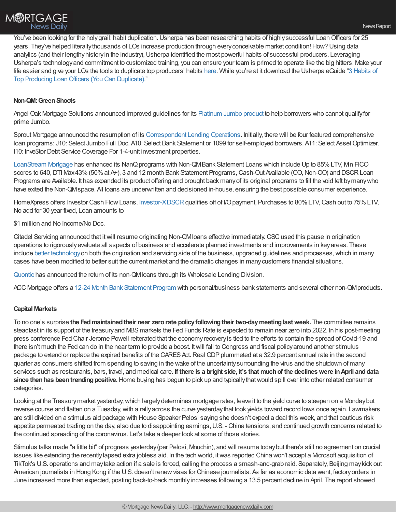

You've been looking for the holygrail: habit duplication. Usherpa has been researching habits of highly successful Loan Officers for 25 years. They've helped literally thousands of LOs increase production through every conceivable market condition! How? Using data analytics (and their lengthy history in the industry), Usherpa identified the most powerful habits of successful producers. Leveraging Usherpa's technologyand commitment to customized training, you can ensure your team is primed to operate like the big hitters. Make your life easier and give your LOs the tools to duplicate top producers' habits [here](http://bit.ly/2GVdBFk). While you're at it download the Usherpa eGuide "3 Habits of Top Producing [LoanOfficers](https://usherpa.com/TopLOSecrets) (You Can Duplicate)."

### **Non-QM:GreenShoots**

Angel Oak Mortgage Solutions announced improved guidelines for its [Platinum](https://angeloakms.com/program/platinum-mortgage-program/?utm_source=Pardot&utm_medium=Email&utm_campaign=Platinum+Mortgage+Program) Jumbo product to help borrowers who cannot qualifyfor prime Jumbo.

Sprout Mortgage announced the resumption of its Correspondent Lending Operations. Initially, there will be four featured comprehensive loan programs: J10: Select Jumbo Full Doc. A10: Select Bank Statement or 1099 for self-employed borrowers. A11: Select Asset Optimizer. I10: Inve\$tor Debt Service Coverage For 1-4-unit investment properties.

[LoanStream](https://loanstreamwholesale.com/non-conforming-wholesale-loan-programs/) Mortgage has enhanced its NanQ programs with Non-QMBank Statement Loans which include Up to 85% LTV, Min FICO scores to 640, DTI Max 43% (50% at A+), 3 and 12 month Bank Statement Programs, Cash-Out Available (OO, Non-OO) and DSCR Loan Programs are Available. It has expanded its product offering and brought back manyof its original programs to fill the void left bymanywho have exited the Non-QMspace. All loans are underwritten and decisioned in-house, ensuring the best possible consumer experience.

HomeXpress offers Investor Cash Flow Loans. [Investor-XDSCR](https://www.homexmortgage.com/) qualifies off of I/O payment, Purchases to 80% LTV, Cash out to 75% LTV, No add for 30 year fixed, Loan amounts to

\$1 million and No Income/No Doc.

Citadel Servicing announced that it will resume originating Non-QMI oans effective immediately. CSC used this pause in origination operations to rigorouslyevaluate all aspects of business and accelerate planned investments and improvements in keyareas. These include better [technology](https://citadelservicing.com/) on both the origination and servicing side of the business, upgraded guidelines and processes, which in many cases have been modified to better suit the current market and the dramatic changes in manycustomers financial situations.

[Quontic](https://quonticwholesale.com/12-month-bank-statement-program-alt-doc/) has announced the return of its non-QMloans through its Wholesale Lending Division.

ACC Mortgage offers a 12-24 Month Bank [Statement](https://www.accmortgage.com/12-24-month-bank-statement-program/) Program with personal/business bank statements and several other non-QMproducts.

### **Capital Markets**

To no one's surprise **the Fedmaintainedtheir near zerorate policyfollowingtheir two-daymeetinglastweek.** The committee remains steadfast in its support of the treasuryand MBSmarkets the Fed Funds Rate is expected to remain near zero into 2022. In his post-meeting press conference Fed Chair Jerome Powell reiterated that the economyrecoveryis tied to the efforts to contain the spread ofCovid-19 and there isn't much the Fed can do in the near term to provide a boost. Itwill fall to Congress and fiscal policyaround another stimulus package to extend or replace the expired benefits of the CARES Act. Real GDP plummeted at a 32.9 percent annual rate in the second quarter as consumers shifted from spending to saving in the wake of the uncertaintysurrounding the virus and the shutdown of many services such as restaurants, bars, travel, and medical care. If there is a bright side, it's that much of the declines were in April and data since then has been trending positive. Home buying has begun to pick up and typically that would spill over into other related consumer categories.

Looking at the Treasurymarket yesterday,which largelydetermines mortgage rates, leave it to the yield curve to steepen on a Mondaybut reverse course and flatten on a Tuesday, with a rally across the curve yesterday that took yields toward record lows once again. Lawmakers are still divided on a stimulus aid package with House Speaker Pelosi saying she doesn't expect a deal this week, and that cautious risk appetite permeated trading on the day, also due to disappointing earnings,U.S. - China tensions, and continued growth concerns related to the continued spreading of the coronavirus. Let's take a deeper look at some of those stories.

Stimulus talks made "a little bit" of progress yesterday(per Pelosi, Mnuchin), and will resume todaybut there's still no agreement on crucial issues like extending the recently lapsed extra jobless aid. In the tech world, it was reported China won't accept a Microsoft acquisition of TikTok's U.S. operations and maytake action if a sale is forced, calling the process a smash-and-grab raid. Separately, Beijing maykick out American journalists in Hong Kong if the U.S. doesn't renew visas for Chinese journalists. As far as economic data went, factory orders in June increased more than expected, posting back-to-back monthlyincreases following a 13.5 percent decline in April. The report showed